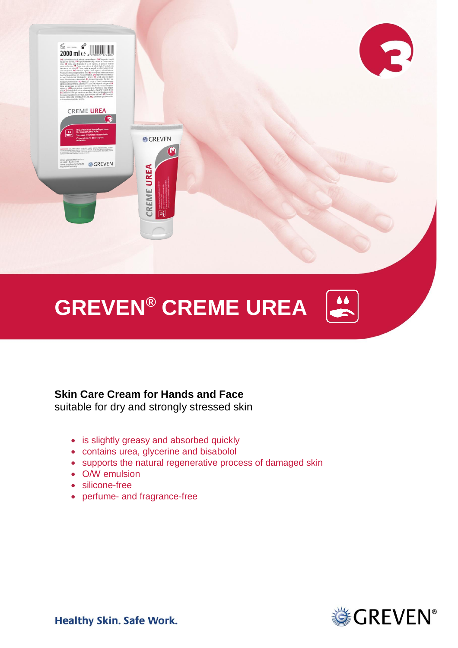

# **GREVEN® CREME UREA**

### **Skin Care Cream for Hands and Face**

suitable for dry and strongly stressed skin

- is slightly greasy and absorbed quickly
- contains urea, glycerine and bisabolol
- supports the natural regenerative process of damaged skin
- O/W emulsion
- silicone-free
- perfume- and fragrance-free



 $\left| \bullet \right|$ 

**Healthy Skin. Safe Work.**